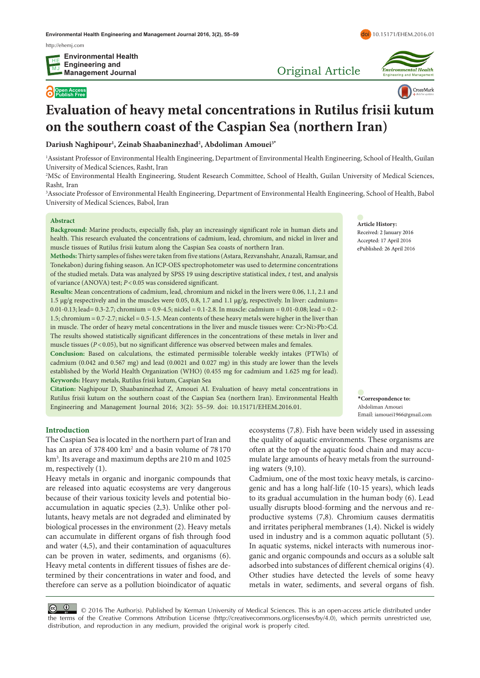http://[ehemj.com](http://ehemj.com)

**Open Access Publish Free**

Original Article



doi [10.15171/EHEM.2016.01](http://dx.doi.org/10.15171/EHEM.2016.01)



# **Evaluation of heavy metal concentrations in Rutilus frisii kutum on the southern coast of the Caspian Sea (northern Iran)**

**Dariush Naghipour1 , Zeinab Shaabaninezhad2 , Abdoliman Amouei3\***

1 Assistant Professor of Environmental Health Engineering, Department of Environmental Health Engineering, School of Health, Guilan University of Medical Sciences, Rasht, Iran

2 MSc of Environmental Health Engineering, Student Research Committee, School of Health, Guilan University of Medical Sciences, Rasht, Iran

3 Associate Professor of Environmental Health Engineering, Department of Environmental Health Engineering, School of Health, Babol University of Medical Sciences, Babol, Iran

#### **Abstract**

**Background:** Marine products, especially fish, play an increasingly significant role in human diets and health. This research evaluated the concentrations of cadmium, lead, chromium, and nickel in liver and muscle tissues of Rutilus frisii kutum along the Caspian Sea coasts of northern Iran.

| Methods: Thirty samples of fishes were taken from five stations (Astara, Rezvanshahr, Anazali, Ramsar, and    |
|---------------------------------------------------------------------------------------------------------------|
| Tonekabon) during fishing season. An ICP-OES spectrophotometer was used to determine concentrations           |
| of the studied metals. Data was analyzed by SPSS 19 using descriptive statistical index, t test, and analysis |
| of variance (ANOVA) test; $P < 0.05$ was considered significant.                                              |

**Results:** Mean concentrations of cadmium, lead, chromium and nickel in the livers were 0.06, 1.1, 2.1 and 1.5  $\mu$ g/g respectively and in the muscles were 0.05, 0.8, 1.7 and 1.1  $\mu$ g/g, respectively. In liver: cadmium= 0.01-0.13; lead= 0.3-2.7; chromium = 0.9-4.5; nickel = 0.1-2.8. In muscle: cadmium = 0.01-0.08; lead = 0.2- 1.5; chromium = 0.7-2.7; nickel = 0.5-1.5. Mean contents of these heavy metals were higher in the liver than in muscle. The order of heavy metal concentrations in the liver and muscle tissues were: Cr>Ni>Pb>Cd. The results showed statistically significant differences in the concentrations of these metals in liver and muscle tissues (*P*<0.05), but no significant difference was observed between males and females.

**Conclusion:** Based on calculations, the estimated permissible tolerable weekly intakes (PTWIs) of cadmium (0.042 and 0.567 mg) and lead (0.0021 and 0.027 mg) in this study are lower than the levels established by the World Health Organization (WHO) (0.455 mg for cadmium and 1.625 mg for lead). **Keywords:** Heavy metals, Rutilus frisii kutum, Caspian Sea

**Citation:** Naghipour D, Shaabaninezhad Z, Amouei AI. Evaluation of heavy metal concentrations in Rutilus frisii kutum on the southern coast of the Caspian Sea (northern Iran). Environmental Health Engineering and Management Journal 2016; 3(2): 55–59. doi: 10.15171/EHEM.2016.01.

**Introduction**

The Caspian Sea is located in the northern part of Iran and has an area of 378 400 km<sup>2</sup> and a basin volume of 78 170 km3 . Its average and maximum depths are 210 m and 1025 m, respectively (1).

Heavy metals in organic and inorganic compounds that are released into aquatic ecosystems are very dangerous because of their various toxicity levels and potential bioaccumulation in aquatic species (2,3). Unlike other pollutants, heavy metals are not degraded and eliminated by biological processes in the environment (2). Heavy metals can accumulate in different organs of fish through food and water (4,5), and their contamination of aquacultures can be proven in water, sediments, and organisms (6). Heavy metal contents in different tissues of fishes are determined by their concentrations in water and food, and therefore can serve as a pollution bioindicator of aquatic

**Article History:** Received: 2 January 2016 Accepted: 17 April 2016 ePublished: 26 April 2016

**\*Correspondence to:** Abdoliman Amouei Email: iamouei1966@gmail.com

ecosystems (7,8). Fish have been widely used in assessing the quality of aquatic environments. These organisms are often at the top of the aquatic food chain and may accumulate large amounts of heavy metals from the surrounding waters (9,10).

Cadmium, one of the most toxic heavy metals, is carcinogenic and has a long half-life (10-15 years), which leads to its gradual accumulation in the human body (6). Lead usually disrupts blood-forming and the nervous and reproductive systems (7,8). Chromium causes dermatitis and irritates peripheral membranes (1,4). Nickel is widely used in industry and is a common aquatic pollutant (5). In aquatic systems, nickel interacts with numerous inorganic and organic compounds and occurs as a soluble salt adsorbed into substances of different chemical origins (4). Other studies have detected the levels of some heavy metals in water, sediments, and several organs of fish.

 © 2016 The Author(s). Published by Kerman University of Medical Sciences. This is an open-access article distributed under the terms of the Creative Commons Attribution License (http://creativecommons.org/licenses/by/4.0), which permits unrestricted use, distribution, and reproduction in any medium, provided the original work is properly cited.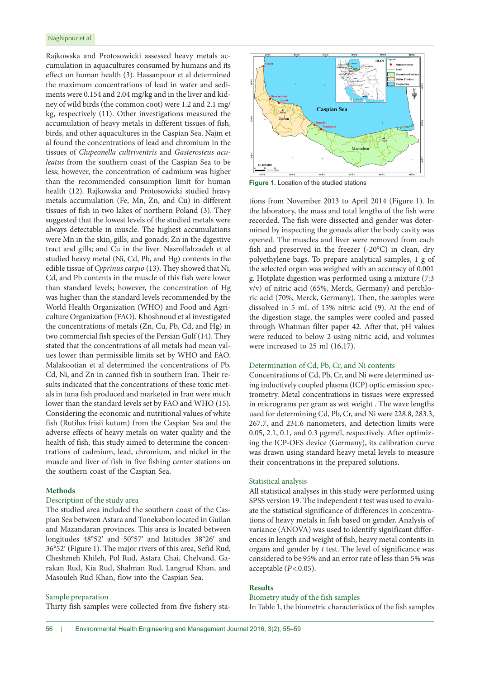Rajkowska and Protosowicki assessed heavy metals accumulation in aquacultures consumed by humans and its effect on human health (3). Hassanpour et al determined the maximum concentrations of lead in water and sediments were 0.154 and 2.04 mg/kg and in the liver and kidney of wild birds (the common coot) were 1.2 and 2.1 mg/ kg, respectively (11). Other investigations measured the accumulation of heavy metals in different tissues of fish, birds, and other aquacultures in the Caspian Sea. Najm et al found the concentrations of lead and chromium in the tissues of *Clupeonella cultriventris* and *Gasterosteus aculeatus* from the southern coast of the Caspian Sea to be less; however, the concentration of cadmium was higher than the recommended consumption limit for human health (12). Rajkowska and Protosowicki studied heavy metals accumulation (Fe, Mn, Zn, and Cu) in different tissues of fish in two lakes of northern Poland (3). They suggested that the lowest levels of the studied metals were always detectable in muscle. The highest accumulations were Mn in the skin, gills, and gonads; Zn in the digestive tract and gills; and Cu in the liver. Nasrollahzadeh et al studied heavy metal (Ni, Cd, Pb, and Hg) contents in the edible tissue of *Cyprinus carpio* (13). They showed that Ni, Cd, and Pb contents in the muscle of this fish were lower than standard levels; however, the concentration of Hg was higher than the standard levels recommended by the World Health Organization (WHO) and Food and Agriculture Organization (FAO). Khoshnoud et al investigated the concentrations of metals (Zn, Cu, Pb, Cd, and Hg) in two commercial fish species of the Persian Gulf (14). They stated that the concentrations of all metals had mean values lower than permissible limits set by WHO and FAO. Malakootian et al determined the concentrations of Pb, Cd, Ni, and Zn in canned fish in southern Iran. Their results indicated that the concentrations of these toxic metals in tuna fish produced and marketed in Iran were much lower than the standard levels set by FAO and WHO (15). Considering the economic and nutritional values of white fish (Rutilus frisii kutum) from the Caspian Sea and the adverse effects of heavy metals on water quality and the health of fish, this study aimed to determine the concentrations of cadmium, lead, chromium, and nickel in the muscle and liver of fish in five fishing center stations on the southern coast of the Caspian Sea.

# **Methods**

# Description of the study area

The studied area included the southern coast of the Caspian Sea between Astara and Tonekabon located in Guilan and Mazandaran provinces. This area is located between longitudes 48°52′ and 50°57′ and latitudes 38°26′ and 36°52′ (Figure 1). The major rivers of this area, Sefid Rud, Cheshmeh Khileh, Pol Rud, Astara Chai, Chelvand, Garakan Rud, Kia Rud, Shalman Rud, Langrud Khan, and Masouleh Rud Khan, flow into the Caspian Sea.

#### Sample preparation

Thirty fish samples were collected from five fishery sta-



**Figure 1.** Location of the studied stations

tions from November 2013 to April 2014 (Figure 1). In the laboratory, the mass and total lengths of the fish were recorded. The fish were dissected and gender was determined by inspecting the gonads after the body cavity was opened. The muscles and liver were removed from each fish and preserved in the freezer (-20°C) in clean, dry polyethylene bags. To prepare analytical samples, 1 g of the selected organ was weighed with an accuracy of 0.001 g. Hotplate digestion was performed using a mixture (7:3 v/v) of nitric acid (65%, Merck, Germany) and perchloric acid (70%, Merck, Germany). Then, the samples were dissolved in 5 mL of 15% nitric acid (9). At the end of the digestion stage, the samples were cooled and passed through Whatman filter paper 42. After that, pH values were reduced to below 2 using nitric acid, and volumes were increased to 25 ml (16,17).

# Determination of Cd, Pb, Cr, and Ni contents

Concentrations of Cd, Pb, Cr, and Ni were determined using inductively coupled plasma (ICP) optic emission spectrometry. Metal concentrations in tissues were expressed in micrograms per gram as wet weight . The wave lengths used for determining Cd, Pb, Cr, and Ni were 228.8, 283.3, 267.7, and 231.6 nanometers, and detection limits were 0.05, 2.1, 0.1, and 0.3 μgrm/l, respectively. After optimizing the ICP-OES device (Germany), its calibration curve was drawn using standard heavy metal levels to measure their concentrations in the prepared solutions.

#### Statistical analysis

All statistical analyses in this study were performed using SPSS version 19. The independent *t* test was used to evaluate the statistical significance of differences in concentrations of heavy metals in fish based on gender. Analysis of variance (ANOVA) was used to identify significant differences in length and weight of fish, heavy metal contents in organs and gender by *t* test. The level of significance was considered to be 95% and an error rate of less than 5% was acceptable  $(P<0.05)$ .

## **Results**

## Biometry study of the fish samples

In Table 1, the biometric characteristics of the fish samples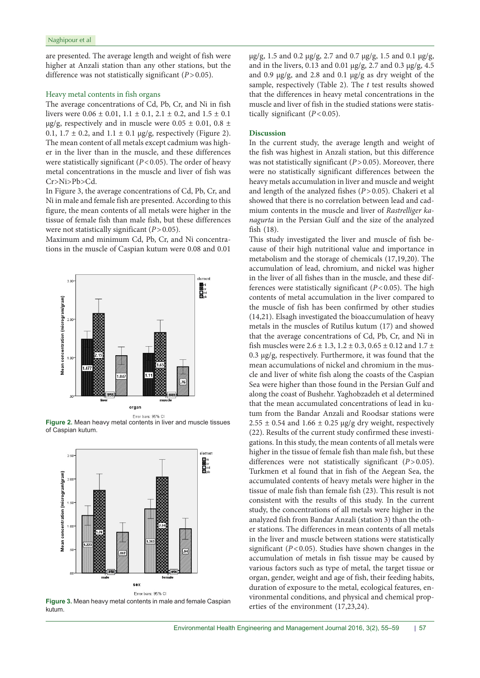are presented. The average length and weight of fish were higher at Anzali station than any other stations, but the difference was not statistically significant (*P*>0.05).

## Heavy metal contents in fish organs

The average concentrations of Cd, Pb, Cr, and Ni in fish livers were  $0.06 \pm 0.01$ ,  $1.1 \pm 0.1$ ,  $2.1 \pm 0.2$ , and  $1.5 \pm 0.1$ μg/g, respectively and in muscle were  $0.05 \pm 0.01$ ,  $0.8 \pm$ 0.1,  $1.7 \pm 0.2$ , and  $1.1 \pm 0.1$   $\mu$ g/g, respectively (Figure 2). The mean content of all metals except cadmium was higher in the liver than in the muscle, and these differences were statistically significant (*P*<0.05). The order of heavy metal concentrations in the muscle and liver of fish was Cr>Ni>Pb>Cd.

In Figure 3, the average concentrations of Cd, Pb, Cr, and Ni in male and female fish are presented. According to this figure, the mean contents of all metals were higher in the tissue of female fish than male fish, but these differences were not statistically significant (*P*>0.05).

Maximum and minimum Cd, Pb, Cr, and Ni concentrations in the muscle of Caspian kutum were 0.08 and 0.01



**Figure 2.** Mean heavy metal contents in liver and muscle tissues of Caspian kutum.



**Figure 3.** Mean heavy metal contents in male and female Caspian kutum.

μg/g, 1.5 and 0.2 μg/g, 2.7 and 0.7 μg/g, 1.5 and 0.1 μg/g, and in the livers, 0.13 and 0.01 μg/g, 2.7 and 0.3 μg/g, 4.5 and 0.9 μg/g, and 2.8 and 0.1 μg/g as dry weight of the sample, respectively (Table 2). The *t* test results showed that the differences in heavy metal concentrations in the muscle and liver of fish in the studied stations were statistically significant (*P*<0.05).

### **Discussion**

In the current study, the average length and weight of the fish was highest in Anzali station, but this difference was not statistically significant (*P*>0.05). Moreover, there were no statistically significant differences between the heavy metals accumulation in liver and muscle and weight and length of the analyzed fishes (*P*>0.05). Chakeri et al showed that there is no correlation between lead and cadmium contents in the muscle and liver of *Rastrelliger kanagurta* in the Persian Gulf and the size of the analyzed fish (18).

This study investigated the liver and muscle of fish because of their high nutritional value and importance in metabolism and the storage of chemicals (17,19,20). The accumulation of lead, chromium, and nickel was higher in the liver of all fishes than in the muscle, and these differences were statistically significant (*P*<0.05). The high contents of metal accumulation in the liver compared to the muscle of fish has been confirmed by other studies (14,21). Elsagh investigated the bioaccumulation of heavy metals in the muscles of Rutilus kutum (17) and showed that the average concentrations of Cd, Pb, Cr, and Ni in fish muscles were  $2.6 \pm 1.3$ ,  $1.2 \pm 0.3$ ,  $0.65 \pm 0.12$  and  $1.7 \pm 1.5$ 0.3 μg/g, respectively. Furthermore, it was found that the mean accumulations of nickel and chromium in the muscle and liver of white fish along the coasts of the Caspian Sea were higher than those found in the Persian Gulf and along the coast of Bushehr. Yaghobzadeh et al determined that the mean accumulated concentrations of lead in kutum from the Bandar Anzali and Roodsar stations were  $2.55 \pm 0.54$  and  $1.66 \pm 0.25$  µg/g dry weight, respectively (22). Results of the current study confirmed these investigations. In this study, the mean contents of all metals were higher in the tissue of female fish than male fish, but these differences were not statistically significant (*P*>0.05). Turkmen et al found that in fish of the Aegean Sea, the accumulated contents of heavy metals were higher in the tissue of male fish than female fish (23). This result is not consistent with the results of this study. In the current study, the concentrations of all metals were higher in the analyzed fish from Bandar Anzali (station 3) than the other stations. The differences in mean contents of all metals in the liver and muscle between stations were statistically significant (*P*<0.05). Studies have shown changes in the accumulation of metals in fish tissue may be caused by various factors such as type of metal, the target tissue or organ, gender, weight and age of fish, their feeding habits, duration of exposure to the metal, ecological features, environmental conditions, and physical and chemical properties of the environment (17,23,24).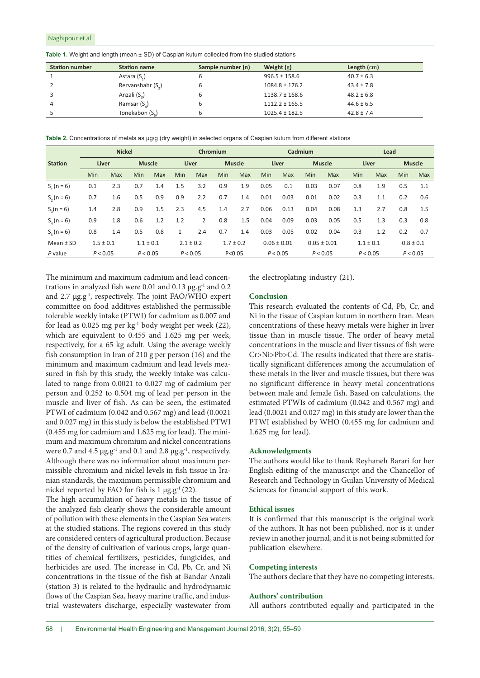| <b>Station number</b> | <b>Station name</b>           | Sample number (n) | Weight $(g)$       | Length $(cm)$  |
|-----------------------|-------------------------------|-------------------|--------------------|----------------|
|                       | Astara (S <sub>1</sub> )      |                   | $996.5 \pm 158.6$  | $40.7 \pm 6.3$ |
|                       | Rezvanshahr (S <sub>2</sub> ) | ь                 | $1084.8 \pm 176.2$ | $43.4 \pm 7.8$ |
|                       | Anzali (S <sub>2</sub> )      | ь                 | $1138.7 \pm 168.6$ | $48.2 \pm 6.8$ |
|                       | Ramsar $(S_4)$                |                   | $1112.2 \pm 165.5$ | $44.6 \pm 6.5$ |
|                       | Tonekabon (S.)                |                   | $1025.4 \pm 182.5$ | $42.8 \pm 7.4$ |

Table 1. Weight and length (mean  $\pm$  SD) of Caspian kutum collected from the studied stations

**Table 2.** Concentrations of metals as μg/g (dry weight) in selected organs of Caspian kutum from different stations

|                | <b>Nickel</b> |            |               |            | Chromium |                                |               | Cadmium         |          |                 | Lead          |               |          |               |               |     |
|----------------|---------------|------------|---------------|------------|----------|--------------------------------|---------------|-----------------|----------|-----------------|---------------|---------------|----------|---------------|---------------|-----|
| <b>Station</b> | Liver         |            | <b>Muscle</b> |            | Liver    |                                | <b>Muscle</b> |                 | Liver    |                 | <b>Muscle</b> |               | Liver    |               | <b>Muscle</b> |     |
|                | <b>Min</b>    | <b>Max</b> | Min           | <b>Max</b> | Min      | Max                            | Min           | Max             | Min      | Max             | <b>Min</b>    | Max           | Min      | <b>Max</b>    | Min           | Max |
| $S_1(n = 6)$   | 0.1           | 2.3        | 0.7           | 1.4        | 1.5      | 3.2                            | 0.9           | 1.9             | 0.05     | 0.1             | 0.03          | 0.07          | 0.8      | 1.9           | 0.5           | 1.1 |
| $S_1(n=6)$     | 0.7           | 1.6        | 0.5           | 0.9        | 0.9      | 2.2                            | 0.7           | 1.4             | 0.01     | 0.03            | 0.01          | 0.02          | 0.3      | 1.1           | 0.2           | 0.6 |
| $S_2(n = 6)$   | 1.4           | 2.8        | 0.9           | 1.5        | 2.3      | 4.5                            | 1.4           | 2.7             | 0.06     | 0.13            | 0.04          | 0.08          | 1.3      | 2.7           | 0.8           | 1.5 |
| $S_{1}(n=6)$   | 0.9           | 1.8        | 0.6           | 1.2        | 1.2      | 2                              | 0.8           | 1.5             | 0.04     | 0.09            | 0.03          | 0.05          | 0.5      | 1.3           | 0.3           | 0.8 |
| $S_e$ (n = 6)  | 0.8           | 1.4        | 0.5           | 0.8        | 1        | 2.4                            | 0.7           | 1.4             | 0.03     | 0.05            | 0.02          | 0.04          | 0.3      | 1.2           | 0.2           | 0.7 |
| Mean $±$ SD    | $1.5 \pm 0.1$ |            | $1.1 \pm 0.1$ |            |          | $2.1 \pm 0.2$<br>$1.7 \pm 0.2$ |               | $0.06 \pm 0.01$ |          | $0.05 \pm 0.01$ |               | $1.1 \pm 0.1$ |          | $0.8 \pm 0.1$ |               |     |
| P value        | P < 0.05      |            | P < 0.05      |            |          | P < 0.05                       |               | P < 0.05        | P < 0.05 |                 | P < 0.05      |               | P < 0.05 |               | P < 0.05      |     |

The minimum and maximum cadmium and lead concentrations in analyzed fish were 0.01 and 0.13  $\mu$ g.g<sup>-1</sup> and 0.2 and 2.7 μg.g-1, respectively. The joint FAO/WHO expert committee on food additives established the permissible tolerable weekly intake (PTWI) for cadmium as 0.007 and for lead as 0.025 mg per kg-1 body weight per week (22), which are equivalent to 0.455 and 1.625 mg per week, respectively, for a 65 kg adult. Using the average weekly fish consumption in Iran of 210 g per person (16) and the minimum and maximum cadmium and lead levels measured in fish by this study, the weekly intake was calculated to range from 0.0021 to 0.027 mg of cadmium per person and 0.252 to 0.504 mg of lead per person in the muscle and liver of fish. As can be seen, the estimated PTWI of cadmium (0.042 and 0.567 mg) and lead (0.0021 and 0.027 mg) in this study is below the established PTWI (0.455 mg for cadmium and 1.625 mg for lead). The minimum and maximum chromium and nickel concentrations were 0.7 and 4.5  $\mu$ g.g<sup>-1</sup> and 0.1 and 2.8  $\mu$ g.g<sup>-1</sup>, respectively. Although there was no information about maximum permissible chromium and nickel levels in fish tissue in Iranian standards, the maximum permissible chromium and nickel reported by FAO for fish is  $1 \mu g.g^{-1}(22)$ .

The high accumulation of heavy metals in the tissue of the analyzed fish clearly shows the considerable amount of pollution with these elements in the Caspian Sea waters at the studied stations. The regions covered in this study are considered centers of agricultural production. Because of the density of cultivation of various crops, large quantities of chemical fertilizers, pesticides, fungicides, and herbicides are used. The increase in Cd, Pb, Cr, and Ni concentrations in the tissue of the fish at Bandar Anzali (station 3) is related to the hydraulic and hydrodynamic flows of the Caspian Sea, heavy marine traffic, and industrial wastewaters discharge, especially wastewater from

the electroplating industry (21).

# **Conclusion**

This research evaluated the contents of Cd, Pb, Cr, and Ni in the tissue of Caspian kutum in northern Iran. Mean concentrations of these heavy metals were higher in liver tissue than in muscle tissue. The order of heavy metal concentrations in the muscle and liver tissues of fish were Cr>Ni>Pb>Cd. The results indicated that there are statistically significant differences among the accumulation of these metals in the liver and muscle tissues, but there was no significant difference in heavy metal concentrations between male and female fish. Based on calculations, the estimated PTWIs of cadmium (0.042 and 0.567 mg) and lead (0.0021 and 0.027 mg) in this study are lower than the PTWI established by WHO (0.455 mg for cadmium and 1.625 mg for lead).

#### **Acknowledgments**

The authors would like to thank Reyhaneh Barari for her English editing of the manuscript and the Chancellor of Research and Technology in Guilan University of Medical Sciences for financial support of this work.

# **Ethical issues**

It is confirmed that this manuscript is the original work of the authors. It has not been published, nor is it under review in another journal, and it is not being submitted for publication elsewhere.

#### **Competing interests**

The authors declare that they have no competing interests.

#### **Authors' contribution**

All authors contributed equally and participated in the